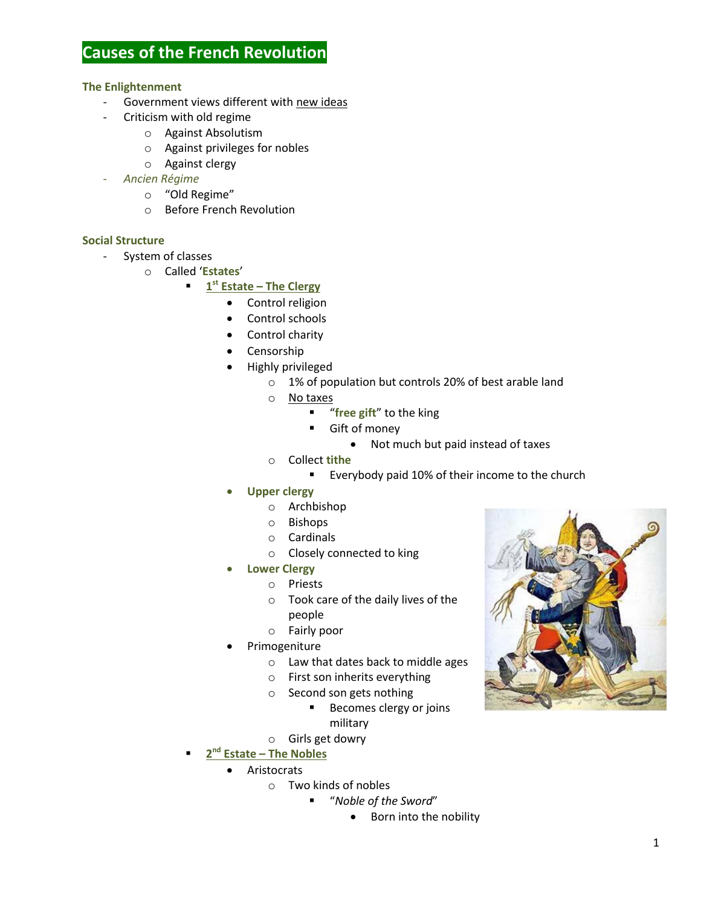# **Causes of the French Revolution**

## **The Enlightenment**

- Government views different with new ideas
- Criticism with old regime
	- o Against Absolutism
	- o Against privileges for nobles
	- o Against clergy
- *Ancien Régime*
	- o "Old Regime"
	- o Before French Revolution

## **Social Structure**

- System of classes
	- o Called '**Estates**'
		- **1 st Estate – The Clergy**
			- Control religion
			- Control schools
			- Control charity
			- Censorship
			- Highly privileged
				- o 1% of population but controls 20% of best arable land
				- o No taxes
					- **"** "free gift" to the king
					- Gift of money
						- Not much but paid instead of taxes
				- o Collect **tithe**
					- **Everybody paid 10% of their income to the church**
				- **Upper clergy**
					- o Archbishop
					- o Bishops
					- o Cardinals
					- o Closely connected to king
			- **Lower Clergy**
				- o Priests
				- o Took care of the daily lives of the people
				- o Fairly poor
			- Primogeniture
				- o Law that dates back to middle ages
				- o First son inherits everything
				- o Second son gets nothing
					- **Becomes clergy or joins** military
					-
				- o Girls get dowry
			- **nd Estate – The Nobles**
			- Aristocrats

**2**

- o Two kinds of nobles
	- "*Noble of the Sword*"
		- Born into the nobility

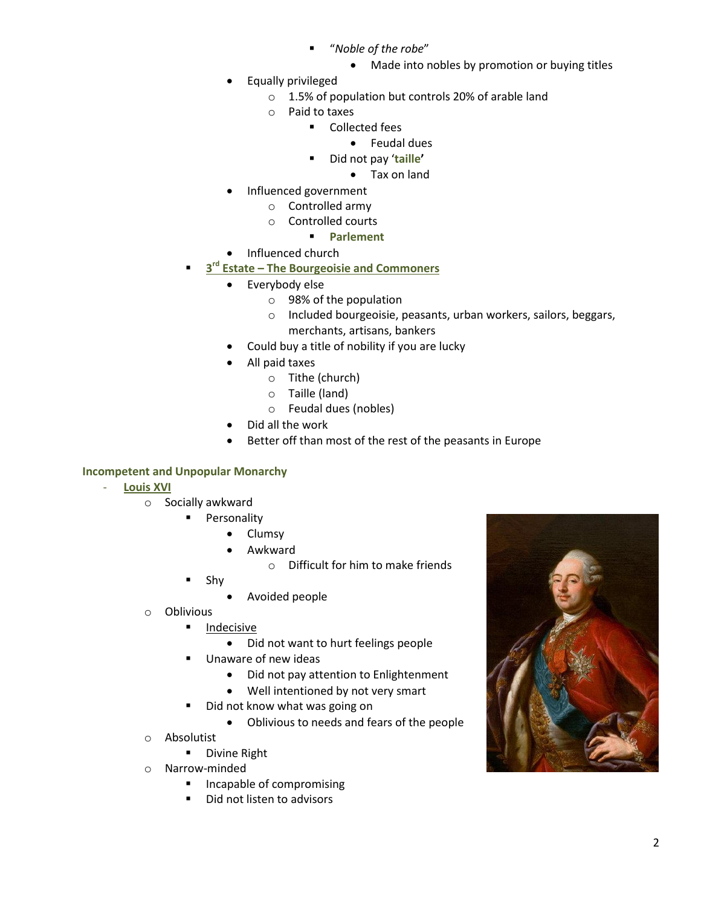- "*Noble of the robe*"
	- Made into nobles by promotion or buying titles
- Equally privileged
	- o 1.5% of population but controls 20% of arable land
	- o Paid to taxes
		- Collected fees
			- Feudal dues
		- Did not pay '**taille'**
			- Tax on land
- Influenced government
	- o Controlled army
	- o Controlled courts
		- **Parlement**
- Influenced church
- **3 Estate – The Bourgeoisie and Commoners** 
	- Everybody else
		- o 98% of the population
		- o Included bourgeoisie, peasants, urban workers, sailors, beggars, merchants, artisans, bankers
	- Could buy a title of nobility if you are lucky
	- All paid taxes
		- o Tithe (church)
		- o Taille (land)
		- o Feudal dues (nobles)
	- Did all the work
	- Better off than most of the rest of the peasants in Europe

# **Incompetent and Unpopular Monarchy**

- **Louis XVI** 
	- o Socially awkward
		- **Personality** 
			- Clumsy
			- Awkward
				- o Difficult for him to make friends
		- Shy
			- Avoided people
	- o Oblivious
		- **Indecisive** 
			- Did not want to hurt feelings people
		- Unaware of new ideas
			- Did not pay attention to Enlightenment
			- Well intentioned by not very smart
		- Did not know what was going on
			- Oblivious to needs and fears of the people
	- o Absolutist
		- **Divine Right**
	- o Narrow-minded
		- **Incapable of compromising**
		- Did not listen to advisors

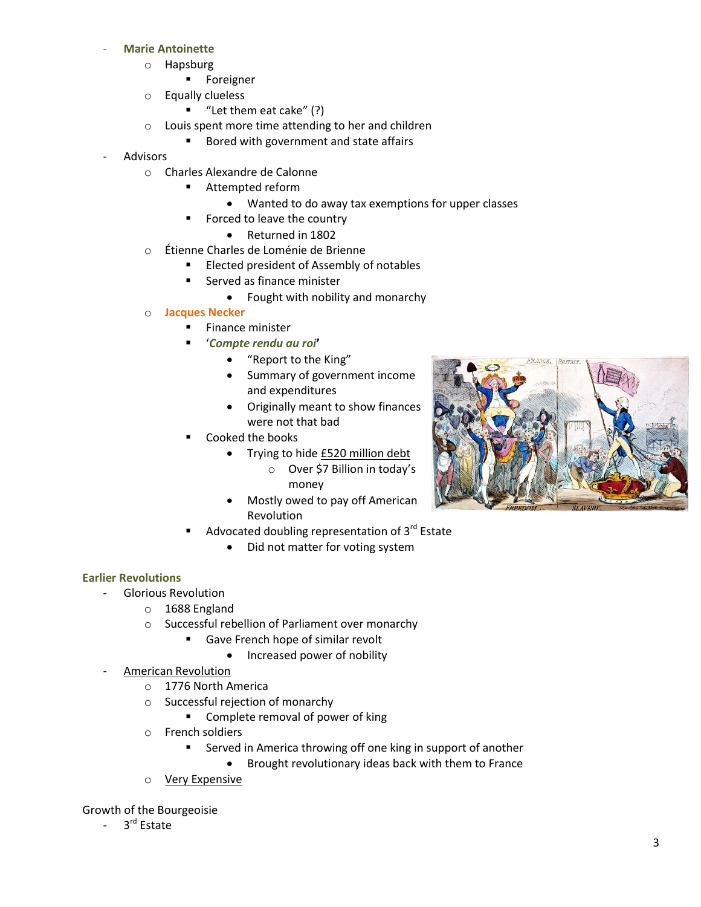#### - **Marie Antoinette**

- o Hapsburg
	- **Foreigner**
- o Equally clueless
	- $\blacksquare$  "Let them eat cake" (?)
- o Louis spent more time attending to her and children
	- Bored with government and state affairs
- **Advisors** 
	- o Charles Alexandre de Calonne
		- Attempted reform
			- Wanted to do away tax exemptions for upper classes
		- Forced to leave the country
			- Returned in 1802
	- o Étienne Charles de Loménie de Brienne
		- Elected president of Assembly of notables
		- **Served as finance minister** 
			- Fought with nobility and monarchy
	- o **Jacques Necker**
		- Finance minister
			- '*Compte rendu au roi***'**
				- "Report to the King"
				- Summary of government income and expenditures
				- Originally meant to show finances were not that bad
		- Cooked the books
			- Trying to hide £520 million debt
				- o Over \$7 Billion in today's money
			- Mostly owed to pay off American Revolution
		- Advocated doubling representation of 3<sup>rd</sup> Estate
			- Did not matter for voting system

#### **Earlier Revolutions**

- Glorious Revolution
	- o 1688 England
	- o Successful rebellion of Parliament over monarchy
		- Gave French hope of similar revolt
			- Increased power of nobility
- **American Revolution** 
	- o 1776 North America
	- o Successful rejection of monarchy
		- **EXECOMPLEE 12 COMPLEE 1** Complete removal of power of king
	- o French soldiers
		- Served in America throwing off one king in support of another
			- Brought revolutionary ideas back with them to France
	- o Very Expensive

Growth of the Bourgeoisie

- 3<sup>rd</sup> Estate